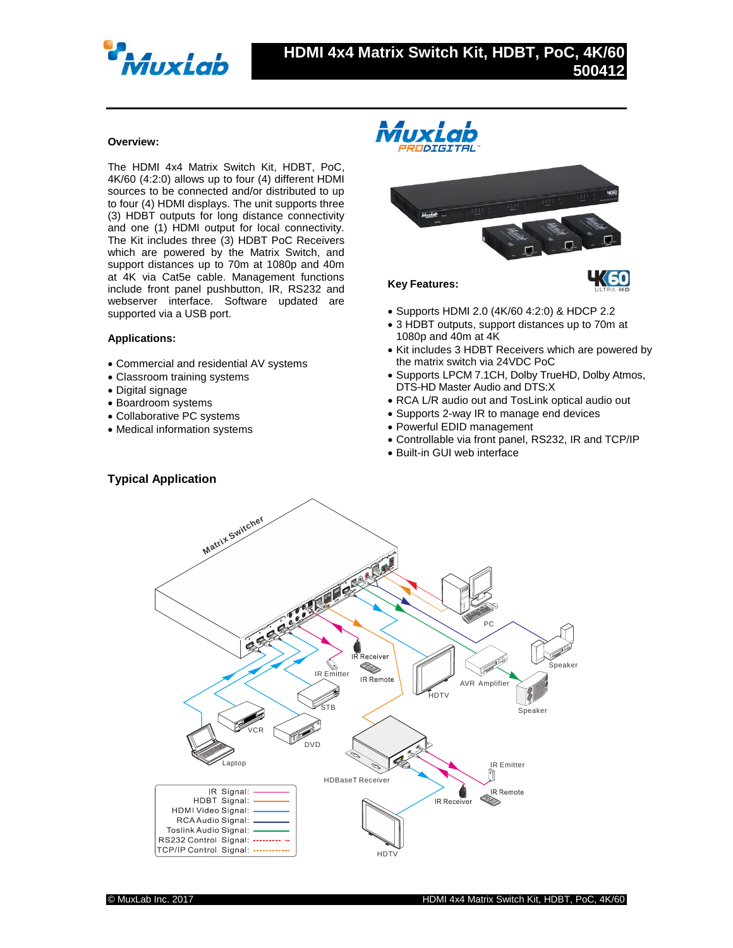

## **Overview:**

The HDMI 4x4 Matrix Switch Kit, HDBT, PoC, 4K/60 (4:2:0) allows up to four (4) different HDMI sources to be connected and/or distributed to up to four (4) HDMI displays. The unit supports three (3) HDBT outputs for long distance connectivity and one (1) HDMI output for local connectivity. The Kit includes three (3) HDBT PoC Receivers which are powered by the Matrix Switch, and support distances up to 70m at 1080p and 40m at 4K via Cat5e cable. Management functions include front panel pushbutton, IR, RS232 and webserver interface. Software updated are supported via a USB port.

## **Applications:**

- Commercial and residential AV systems
- Classroom training systems
- Digital signage
- Boardroom systems
- Collaborative PC systems
- Medical information systems



## **Key Features:**

- Supports HDMI 2.0 (4K/60 4:2:0) & HDCP 2.2
- 3 HDBT outputs, support distances up to 70m at 1080p and 40m at 4K
- Kit includes 3 HDBT Receivers which are powered by the matrix switch via 24VDC PoC
- Supports LPCM 7.1CH, Dolby TrueHD, Dolby Atmos, DTS-HD Master Audio and DTS:X
- RCA L/R audio out and TosLink optical audio out
- Supports 2-way IR to manage end devices
- Powerful EDID management
- Controllable via front panel, RS232, IR and TCP/IP
- Built-in GUI web interface